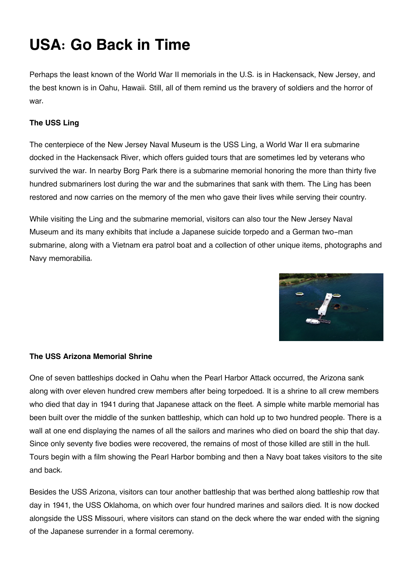# **USA: Go Back in Time**

Perhaps the least known of the World War II memorials in the U.S. is in Hackensack, New Jersey, and the best known is in Oahu, Hawaii. Still, all of them remind us the bravery of soldiers and the horror of war.

# **The USS Ling**

The centerpiece of the New Jersey Naval Museum is the USS Ling, a World War II era submarine docked in the Hackensack River, which offers guided tours that are sometimes led by veterans who survived the war. In nearby Borg Park there is a submarine memorial honoring the more than thirty five hundred submariners lost during the war and the submarines that sank with them. The Ling has been restored and now carries on the memory of the men who gave their lives while serving their country.

While visiting the Ling and the submarine memorial, visitors can also tour the New Jersey Naval Museum and its many exhibits that include a Japanese suicide torpedo and a German two-man submarine, along with a Vietnam era patrol boat and a collection of other unique items, photographs and Navy memorabilia.



# **The USS Arizona Memorial Shrine**

One of seven battleships docked in Oahu when the Pearl Harbor Attack occurred, the Arizona sank along with over eleven hundred crew members after being torpedoed. It is a shrine to all crew members who died that day in 1941 during that Japanese attack on the fleet. A simple white marble memorial has been built over the middle of the sunken battleship, which can hold up to two hundred people. There is a wall at one end displaying the names of all the sailors and marines who died on board the ship that day. Since only seventy five bodies were recovered, the remains of most of those killed are still in the hull. Tours begin with a film showing the Pearl Harbor bombing and then a Navy boat takes visitors to the site and back.

Besides the USS Arizona, visitors can tour another battleship that was berthed along battleship row that day in 1941, the USS Oklahoma, on which over four hundred marines and sailors died. It is now docked alongside the USS Missouri, where visitors can stand on the deck where the war ended with the signing of the Japanese surrender in a formal ceremony.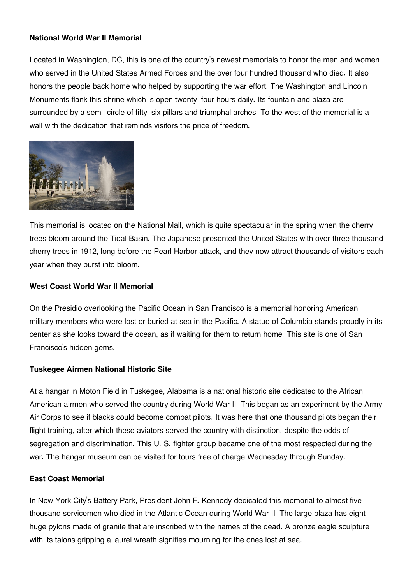## **National World War II Memorial**

Located in Washington, DC, this is one of the country's newest memorials to honor the men and women who served in the United States Armed Forces and the over four hundred thousand who died. It also honors the people back home who helped by supporting the war effort. The Washington and Lincoln Monuments flank this shrine which is open twenty-four hours daily. Its fountain and plaza are surrounded by a semi-circle of fifty-six pillars and triumphal arches. To the west of the memorial is a wall with the dedication that reminds visitors the price of freedom.



This memorial is located on the National Mall, which is quite spectacular in the spring when the cherry trees bloom around the Tidal Basin. The Japanese presented the United States with over three thousand cherry trees in 1912, long before the Pearl Harbor attack, and they now attract thousands of visitors each year when they burst into bloom.

## **West Coast World War II Memorial**

On the Presidio overlooking the Pacific Ocean in San Francisco is a memorial honoring American military members who were lost or buried at sea in the Pacific. A statue of Columbia stands proudly in its center as she looks toward the ocean, as if waiting for them to return home. This site is one of San Francisco's hidden gems.

## **Tuskegee Airmen National Historic Site**

At a hangar in Moton Field in Tuskegee, Alabama is a national historic site dedicated to the African American airmen who served the country during World War II. This began as an experiment by the Army Air Corps to see if blacks could become combat pilots. It was here that one thousand pilots began their flight training, after which these aviators served the country with distinction, despite the odds of segregation and discrimination. This U. S. fighter group became one of the most respected during the war. The hangar museum can be visited for tours free of charge Wednesday through Sunday.

## **East Coast Memorial**

In New York City's Battery Park, President John F. Kennedy dedicated this memorial to almost five thousand servicemen who died in the Atlantic Ocean during World War II. The large plaza has eight huge pylons made of granite that are inscribed with the names of the dead. A bronze eagle sculpture with its talons gripping a laurel wreath signifies mourning for the ones lost at sea.